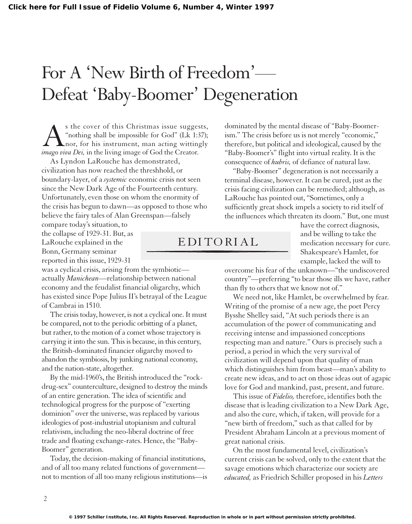## For A 'New Birth of Freedom'— Defeat 'Baby-Boomer' Degeneration

 $\sum_{\text{inning shall be impossible for God" (Lk 1:37)}$ <br>
As "nothing shall be impossible for God" (Lk 1:37);<br>
Imago viva Dei, in the living image of God the Creator. "nothing shall be impossible for God" (Lk 1:37); nor, for his instrument, man acting wittingly *imago viva Dei,* in the living image of God the Creator.

As Lyndon LaRouche has demonstrated, civilization has now reached the threshhold, or boundary-layer, of a *systemic* economic crisis not seen since the New Dark Age of the Fourteenth century. Unfortunately, even those on whom the enormity of the crisis has begun to dawn—as opposed to those who believe the fairy tales of Alan Greenspan—falsely

compare today's situation, to the collapse of 1929-31. But, as LaRouche explained in the Bonn, Germany seminar reported in this issue, 1929-31

was a cyclical crisis, arising from the symbiotic actually *Manichean*—relationship between national economy and the feudalist financial oligarchy, which has existed since Pope Julius II's betrayal of the League of Cambrai in 1510.

The crisis today, however, is not a cyclical one. It must be compared, not to the periodic orbitting of a planet, but rather, to the motion of a comet whose trajectory is carrying it into the sun. This is because, in this century, the British-dominated financier oligarchy moved to abandon the symbiosis, by junking national economy, and the nation-state, altogether.

By the mid-1960's, the British introduced the "rockdrug-sex" counterculture, designed to destroy the minds of an entire generation. The idea of scientific and technological progress for the purpose of "exerting dominion" over the universe, was replaced by various ideologies of post-industrial utopianism and cultural relativism, including the neo-liberal doctrine of free trade and floating exchange-rates. Hence, the "Baby-Boomer" generation.

Today, the decision-making of financial institutions, and of all too many related functions of government not to mention of all too many religious institutions—is dominated by the mental disease of "Baby-Boomerism." The crisis before us is not merely "economic," therefore, but political and ideological, caused by the "Baby-Boomer's" flight into virtual reality. It is the consequence of *hubris,* of defiance of natural law.

"Baby-Boomer" degeneration is not necessarily a terminal disease, however. It can be cured, just as the crisis facing civilization can be remedied; although, as LaRouche has pointed out, "Sometimes, only a sufficiently great shock impels a society to rid itself of the influences which threaten its doom." But, one must

> have the correct diagnosis, and be willing to take the medication necessary for cure. Shakespeare's Hamlet, for example, lacked the will to

overcome his fear of the unknown—"the undiscovered country"—preferring "to bear those ills we have, rather than fly to others that we know not of."

We need not, like Hamlet, be overwhelmed by fear. Writing of the promise of a new age, the poet Percy Bysshe Shelley said, "At such periods there is an accumulation of the power of communicating and receiving intense and impassioned conceptions respecting man and nature." Ours is precisely such a period, a period in which the very survival of civilization will depend upon that quality of man which distinguishes him from beast—man's ability to create new ideas, and to act on those ideas out of agapic love for God and mankind, past, present, and future.

This issue of *Fidelio,* therefore, identifies both the disease that is leading civilization to a New Dark Age, and also the cure, which, if taken, will provide for a "new birth of freedom," such as that called for by President Abraham Lincoln at a previous moment of great national crisis.

On the most fundamental level, civilization's current crisis can be solved, only to the extent that the savage emotions which characterize our society are *educated,* as Friedrich Schiller proposed in his *Letters*

EDITORIAL